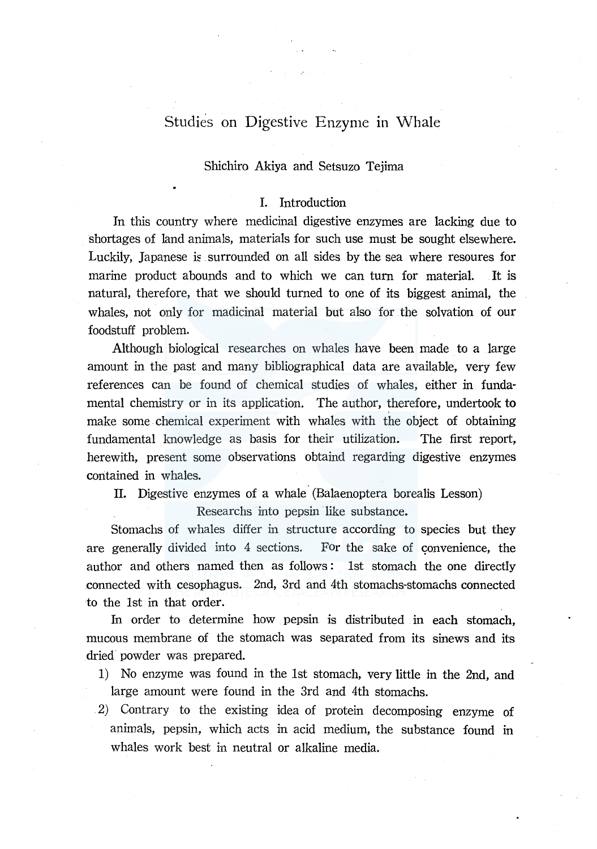# Studies on Digestive Enzyme in Whale

### Shichiro Akiya and Setsuzo Tejima

# I. Introduction

In this country where medicinal digestive enzymes are lacking due to shortages of land animals, materials for such use must be sought elsewhere. Luckily, Japanese is surrounded on all sides by the sea where resoures for marine product abounds and to which we can turn for material. It is natural, therefore, that we should turned to one of its biggest animal, the whales, not only for madicinal material but also for the solvation of our foodstuff problem.

Although biological researches on whales have been made to a large amount in the past and many bibliographical data are available, very few references can be found of chemical studies of whales, either in fundamental chemistry or in its application. The author, therefore, undertook to make some chemical experiment with whales with the object of obtaining fundamental knowledge as basis for their utilization. The first report, herewith, present some observations obtaind regarding digestive enzymes contained in whales.

II. Digestive enzymes of a whale (Balaenoptera borealis Lesson)

Researchs into pepsin like substance.

Stomachs of whales differ in structure according to species but they are generally divided into 4 sections. For the sake of convenience, the author and others named then as follows : lst stomach the one directly connected with cesophagus. 2nd, 3rd and 4th stomachs-stomachs connected to the lst in that order.

In order to determine how pepsin is distributed in each stomach, mucous membrane of the stomach was separated from its sinews and its dried· powder was prepared.

- 1) No enzyme was found in the lst stomach, very little in the 2nd, and large amount were found in the 3rd and 4th stomachs.
- 2) Contrary to the existing idea of protein decomposing enzyme of animals, pepsin, which acts in acid medium, the substance found in whales work best in neutral or alkaline media.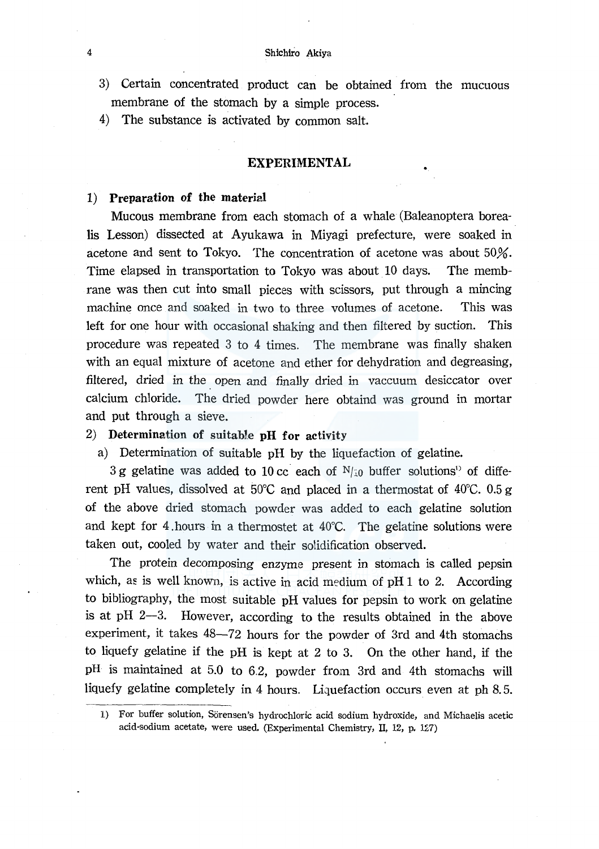- 3) Certain concentrated product can be obtained from the mucuous membrane of the stomach by a simple process.
- 4) The substance is activated by common salt.

### EXPERIMENTAL

# 1) Preparation of the material

Mucous membrane from each stomach of a whale (Baleanoptera borealis Lesson) dissected at Ayukawa in Miyagi prefecture, were soaked in acetone and sent to Tokyo. The concentration of acetone was about 50%. Time elapsed in transportation to Tokyo was about 10 days. The membrane was then cut into small pieces with scissors, put through a mincing machine once and soaked in two to three volumes of acetone. This was left for one hour with occasional shaking and then filtered by suction. This procedure was repeated 3 to 4 times. The membrane was finally shaken with an equal mixture of acetone and ether for dehydration and degreasing, filtered, dried in the open and finally dried in vaccuum desiccator over calcium chloride. The dried powder here obtaind was ground in mortar and put through a sieve.

# 2) Determination of suitable pH for activity

a) Determination of suitable pH by the liquefaction of gelatine.

3 g gelatine was added to 10 cc each of  $N_{10}$  buffer solutions<sup>1</sup> of different pH values, dissolved at 50°C and placed in a thermostat of 40°C. 0.5 g of the above dried stomach powder was added to each gelatine solution and kept for 4 hours in a thermostet at  $40^{\circ}$ C. The gelatine solutions were taken out, cooled by water and their solidification observed.

The protein decomposing enzyme present in stomach is called pepsin which, as is well known, is active in acid medium of pH  $1$  to 2. According to bibliography, the most suitable pH values for pepsin to work on gelatine is at  $pH$  2-3. However, according to the results obtained in the above experiment, it takes 48-72 hours for the powder of 3rd and 4th stomachs to liquefy gelatine if the pH is kept at 2 to 3. On the other hand, if the pH is maintained at 5.0 to 6.2, powder from 3rd and 4th stomachs will liquefy gelatine completely in 4 hours. Liquefaction occurs even at ph 8.5.

<sup>1)</sup> For buffer solution, Sorensen's hydrochloric acid sodium hydroxide, and Michaelis acetic acid-sodium acetate, were used. (Experimental Chemistry, II, 12, p. 127)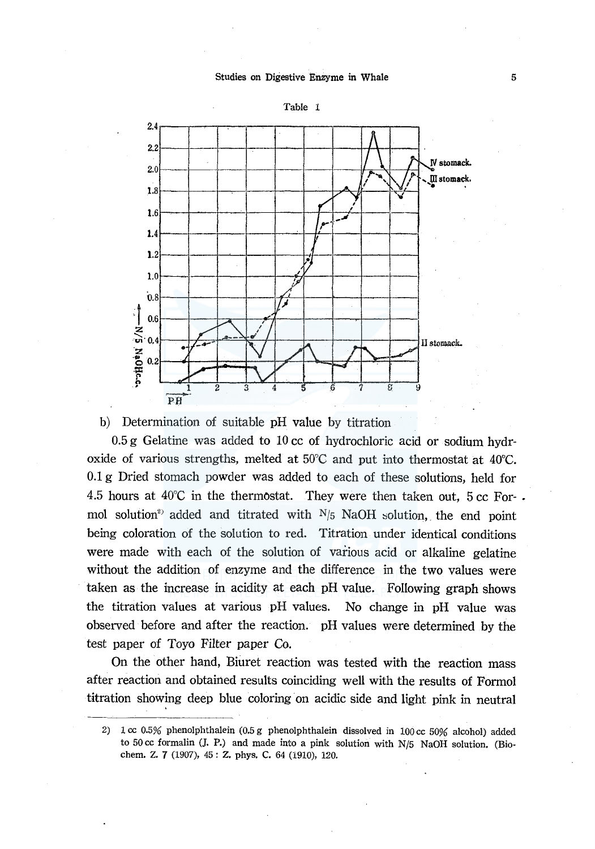#### Studies on Digestive Enzyme in Whale



b) Determination of suitable pH value by titration

0.5 g Gelatine was added to 10 cc of hydrochloric acid or sodium hydroxide of various strengths, melted at 50°C and put into thermostat at 40°C. 0.1 g Dried stomach powder was added to each of these solutions, held for 4.5 hours at  $40^{\circ}$ C in the thermostat. They were then taken out, 5 cc Formol solution<sup>2</sup> added and titrated with  $N/5$  NaOH solution, the end point being coloration of the solution to red. Titration under identical conditions were made with each of the solution of various acid or alkaline gelatine without the addition of enzyme and the difference in the two values were taken as the increase in acidity at each pH value. Following graph shows the titration values at various pH values. No change in pH value was observed before and after the reaction. pH values were determined by the test paper of Toyo Filter paper Co.

On the other hand, Biuret reaction was tested with the reaction mass after reaction and obtained results coinciding well with the results of Formal titration showing deep blue coloring on acidic side and light pink in neutral

<sup>2) 1</sup> cc 0.5% phenolphthalein (0.5 g phenolphthalein dissolved in 100 cc 50% alcohol) added to 50 cc formalin (J. P.) and made into a pink solution with N/5 NaOH solution. (Biochem. Z. 7 (1907), 45 : Z. phys. C. 64 (1910), 120.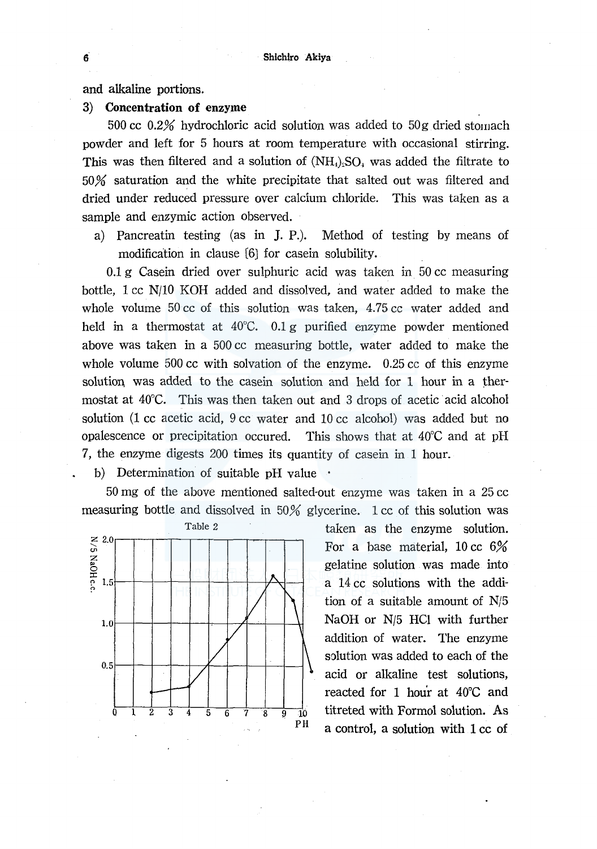### and alkaline portions.

### 3) **Concentration of** enzyme

500 cc  $0.2\%$  hydrochloric acid solution was added to  $50g$  dried stomach powder and left for 5 hours at room temperature with occasional stirring. This was then filtered and a solution of  $(NH<sub>4</sub>)$ <sub>s</sub>SO<sub>4</sub> was added the filtrate to 50% saturation and the white precipitate that salted out was filtered and dried under reduced pressure over calcium chloride. This was taken as a sample and enzymic action observed.

a) Pancreatin testing (as in J. P.). Method of testing by means of modification in clause (6) for casein solubility.

0.1 g Casein dried over sulphuric acid was taken in 50 cc measuring bottle, 1 cc N/10 KOH added and dissolved, and water added to make the whole volume 50 cc of this solution was taken, 4.75 cc water added and held in a thermostat at 40°C. 0.1 g purified enzyme powder mentioned above was taken in a 500 cc measuring bottle, water added to make the whole volume 500 cc with solvation of the enzyme. 0.25 cc of this enzyme solution. was added to the casein solution and held for 1 hour in a thermostat at 40°C. This was then taken out and 3 drops of acetic acid alcohol solution (1 cc acetic acid, 9 cc water and 10 cc alcohol) was added but no opalescence or precipitation occured. This shows that at 40°C and at pH 7, the enzyme digests 200 times its quantity of casein in 1 hour.

b) Determination of suitable pH value  $\cdot$ 

50 mg of the above mentioned salted-out enzyme was taken in a 25 cc measuring bottle and dissolved in 50% glycerine. 1 cc of this solution was



taken as the enzyme solution. For a base material, 10 cc 6% gelatine solution was made into a 14 cc solutions with the addition of a suitable amount of N/5 NaOH or N/5 HCl with further addition of water. The enzyme solution was added to each of the acid or alkaline test solutions, reacted for 1 hou'r at 40°C and titreted with Formol solution. As a control, a solution with 1 cc of